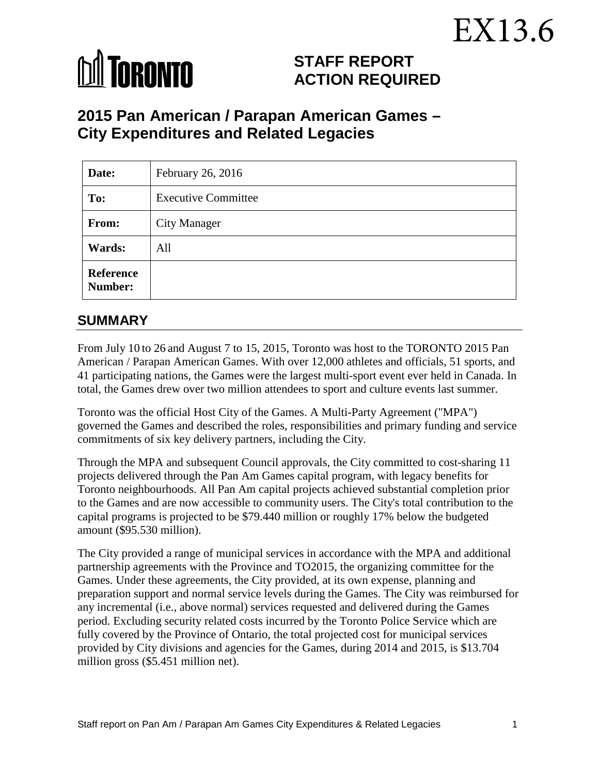# EX13.6



# **STAFF REPORT ACTION REQUIRED**

# **2015 Pan American / Parapan American Games – City Expenditures and Related Legacies**

| Date:                | February 26, 2016          |
|----------------------|----------------------------|
| To:                  | <b>Executive Committee</b> |
| From:                | <b>City Manager</b>        |
| <b>Wards:</b>        | All                        |
| Reference<br>Number: |                            |

# **SUMMARY**

From July 10 to 26 and August 7 to 15, 2015, Toronto was host to the TORONTO 2015 Pan American / Parapan American Games. With over 12,000 athletes and officials, 51 sports, and 41 participating nations, the Games were the largest multi-sport event ever held in Canada. In total, the Games drew over two million attendees to sport and culture events last summer.

Toronto was the official Host City of the Games. A Multi-Party Agreement ("MPA") governed the Games and described the roles, responsibilities and primary funding and service commitments of six key delivery partners, including the City.

Through the MPA and subsequent Council approvals, the City committed to cost-sharing 11 projects delivered through the Pan Am Games capital program, with legacy benefits for Toronto neighbourhoods. All Pan Am capital projects achieved substantial completion prior to the Games and are now accessible to community users. The City's total contribution to the capital programs is projected to be \$79.440 million or roughly 17% below the budgeted amount (\$95.530 million).

The City provided a range of municipal services in accordance with the MPA and additional partnership agreements with the Province and TO2015, the organizing committee for the Games. Under these agreements, the City provided, at its own expense, planning and preparation support and normal service levels during the Games. The City was reimbursed for any incremental (i.e., above normal) services requested and delivered during the Games period. Excluding security related costs incurred by the Toronto Police Service which are fully covered by the Province of Ontario, the total projected cost for municipal services provided by City divisions and agencies for the Games, during 2014 and 2015, is \$13.704 million gross (\$5.451 million net).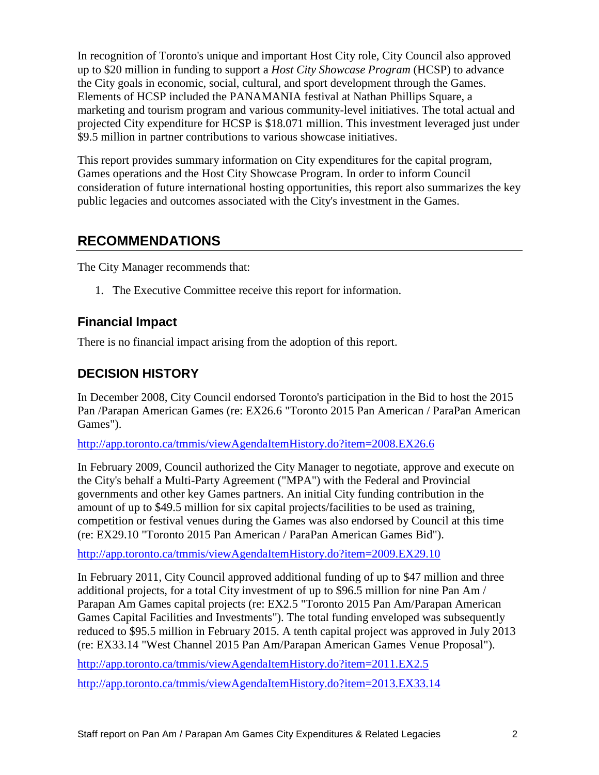In recognition of Toronto's unique and important Host City role, City Council also approved up to \$20 million in funding to support a *Host City Showcase Program* (HCSP) to advance the City goals in economic, social, cultural, and sport development through the Games. Elements of HCSP included the PANAMANIA festival at Nathan Phillips Square, a marketing and tourism program and various community-level initiatives. The total actual and projected City expenditure for HCSP is \$18.071 million. This investment leveraged just under \$9.5 million in partner contributions to various showcase initiatives.

This report provides summary information on City expenditures for the capital program, Games operations and the Host City Showcase Program. In order to inform Council consideration of future international hosting opportunities, this report also summarizes the key public legacies and outcomes associated with the City's investment in the Games.

# **RECOMMENDATIONS**

The City Manager recommends that:

1. The Executive Committee receive this report for information.

# **Financial Impact**

There is no financial impact arising from the adoption of this report.

# **DECISION HISTORY**

In December 2008, City Council endorsed Toronto's participation in the Bid to host the 2015 Pan /Parapan American Games (re: EX26.6 "Toronto 2015 Pan American / ParaPan American Games").

<http://app.toronto.ca/tmmis/viewAgendaItemHistory.do?item=2008.EX26.6>

In February 2009, Council authorized the City Manager to negotiate, approve and execute on the City's behalf a Multi-Party Agreement ("MPA") with the Federal and Provincial governments and other key Games partners. An initial City funding contribution in the amount of up to \$49.5 million for six capital projects/facilities to be used as training, competition or festival venues during the Games was also endorsed by Council at this time (re: EX29.10 "Toronto 2015 Pan American / ParaPan American Games Bid").

<http://app.toronto.ca/tmmis/viewAgendaItemHistory.do?item=2009.EX29.10>

In February 2011, City Council approved additional funding of up to \$47 million and three additional projects, for a total City investment of up to \$96.5 million for nine Pan Am / Parapan Am Games capital projects (re: EX2.5 "Toronto 2015 Pan Am/Parapan American Games Capital Facilities and Investments"). The total funding enveloped was subsequently reduced to \$95.5 million in February 2015. A tenth capital project was approved in July 2013 (re: EX33.14 "West Channel 2015 Pan Am/Parapan American Games Venue Proposal").

<http://app.toronto.ca/tmmis/viewAgendaItemHistory.do?item=2011.EX2.5>

<http://app.toronto.ca/tmmis/viewAgendaItemHistory.do?item=2013.EX33.14>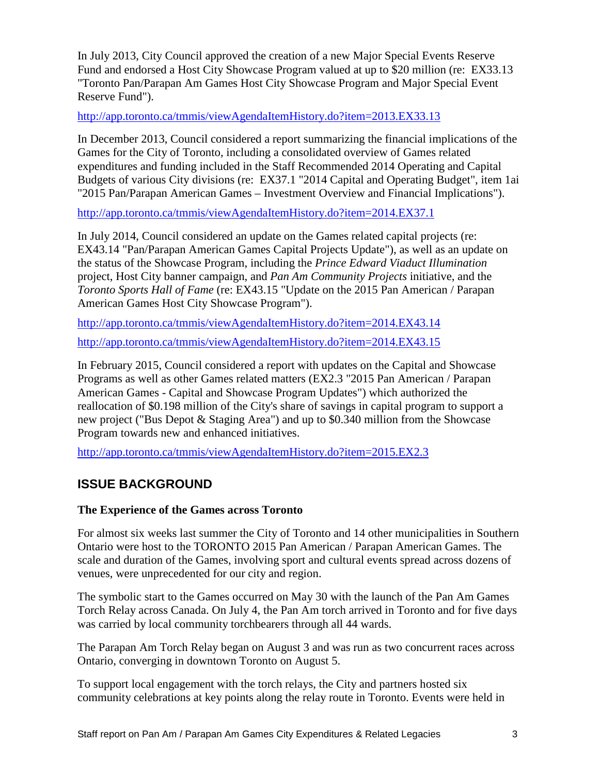In July 2013, City Council approved the creation of a new Major Special Events Reserve Fund and endorsed a Host City Showcase Program valued at up to \$20 million (re: EX33.13 "Toronto Pan/Parapan Am Games Host City Showcase Program and Major Special Event Reserve Fund").

<http://app.toronto.ca/tmmis/viewAgendaItemHistory.do?item=2013.EX33.13>

In December 2013, Council considered a report summarizing the financial implications of the Games for the City of Toronto, including a consolidated overview of Games related expenditures and funding included in the Staff Recommended 2014 Operating and Capital Budgets of various City divisions (re: EX37.1 "2014 Capital and Operating Budget", item 1ai "2015 Pan/Parapan American Games – Investment Overview and Financial Implications").

<http://app.toronto.ca/tmmis/viewAgendaItemHistory.do?item=2014.EX37.1>

In July 2014, Council considered an update on the Games related capital projects (re: EX43.14 "Pan/Parapan American Games Capital Projects Update"), as well as an update on the status of the Showcase Program, including the *Prince Edward Viaduct Illumination*  project, Host City banner campaign, and *Pan Am Community Projects* initiative, and the *Toronto Sports Hall of Fame* (re: EX43.15 "Update on the 2015 Pan American / Parapan American Games Host City Showcase Program").

<http://app.toronto.ca/tmmis/viewAgendaItemHistory.do?item=2014.EX43.14>

<http://app.toronto.ca/tmmis/viewAgendaItemHistory.do?item=2014.EX43.15>

In February 2015, Council considered a report with updates on the Capital and Showcase Programs as well as other Games related matters (EX2.3 "2015 Pan American / Parapan American Games - Capital and Showcase Program Updates") which authorized the reallocation of \$0.198 million of the City's share of savings in capital program to support a new project ("Bus Depot & Staging Area") and up to \$0.340 million from the Showcase Program towards new and enhanced initiatives.

<http://app.toronto.ca/tmmis/viewAgendaItemHistory.do?item=2015.EX2.3>

# **ISSUE BACKGROUND**

### **The Experience of the Games across Toronto**

For almost six weeks last summer the City of Toronto and 14 other municipalities in Southern Ontario were host to the TORONTO 2015 Pan American / Parapan American Games. The scale and duration of the Games, involving sport and cultural events spread across dozens of venues, were unprecedented for our city and region.

The symbolic start to the Games occurred on May 30 with the launch of the Pan Am Games Torch Relay across Canada. On July 4, the Pan Am torch arrived in Toronto and for five days was carried by local community torchbearers through all 44 wards.

The Parapan Am Torch Relay began on August 3 and was run as two concurrent races across Ontario, converging in downtown Toronto on August 5.

To support local engagement with the torch relays, the City and partners hosted six community celebrations at key points along the relay route in Toronto. Events were held in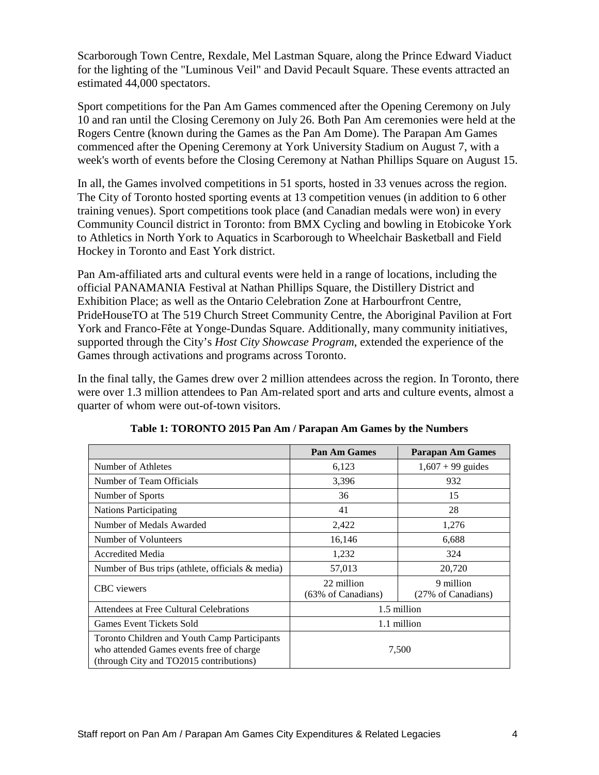Scarborough Town Centre, Rexdale, Mel Lastman Square, along the Prince Edward Viaduct for the lighting of the "Luminous Veil" and David Pecault Square. These events attracted an estimated 44,000 spectators.

Sport competitions for the Pan Am Games commenced after the Opening Ceremony on July 10 and ran until the Closing Ceremony on July 26. Both Pan Am ceremonies were held at the Rogers Centre (known during the Games as the Pan Am Dome). The Parapan Am Games commenced after the Opening Ceremony at York University Stadium on August 7, with a week's worth of events before the Closing Ceremony at Nathan Phillips Square on August 15.

In all, the Games involved competitions in 51 sports, hosted in 33 venues across the region. The City of Toronto hosted sporting events at 13 competition venues (in addition to 6 other training venues). Sport competitions took place (and Canadian medals were won) in every Community Council district in Toronto: from BMX Cycling and bowling in Etobicoke York to Athletics in North York to Aquatics in Scarborough to Wheelchair Basketball and Field Hockey in Toronto and East York district.

Pan Am-affiliated arts and cultural events were held in a range of locations, including the official PANAMANIA Festival at Nathan Phillips Square, the Distillery District and Exhibition Place; as well as the Ontario Celebration Zone at Harbourfront Centre, PrideHouseTO at The 519 Church Street Community Centre, the Aboriginal Pavilion at Fort York and Franco-Fête at Yonge-Dundas Square. Additionally, many community initiatives, supported through the City's *Host City Showcase Program*, extended the experience of the Games through activations and programs across Toronto.

In the final tally, the Games drew over 2 million attendees across the region. In Toronto, there were over 1.3 million attendees to Pan Am-related sport and arts and culture events, almost a quarter of whom were out-of-town visitors.

|                                                                                                                                     | Pan Am Games                     | <b>Parapan Am Games</b>         |  |  |
|-------------------------------------------------------------------------------------------------------------------------------------|----------------------------------|---------------------------------|--|--|
| Number of Athletes                                                                                                                  | 6,123                            | $1,607 + 99$ guides             |  |  |
| Number of Team Officials                                                                                                            | 3,396                            | 932                             |  |  |
| Number of Sports                                                                                                                    | 36                               | 15                              |  |  |
| <b>Nations Participating</b>                                                                                                        | 41                               | 28                              |  |  |
| Number of Medals Awarded                                                                                                            | 2,422                            | 1,276                           |  |  |
| Number of Volunteers                                                                                                                | 16,146                           | 6,688                           |  |  |
| <b>Accredited Media</b>                                                                                                             | 1,232                            | 324                             |  |  |
| Number of Bus trips (athlete, officials $\&$ media)                                                                                 | 57,013                           | 20,720                          |  |  |
| <b>CBC</b> viewers                                                                                                                  | 22 million<br>(63% of Canadians) | 9 million<br>(27% of Canadians) |  |  |
| Attendees at Free Cultural Celebrations                                                                                             |                                  | 1.5 million                     |  |  |
| Games Event Tickets Sold                                                                                                            | 1.1 million                      |                                 |  |  |
| Toronto Children and Youth Camp Participants<br>who attended Games events free of charge<br>(through City and TO2015 contributions) | 7,500                            |                                 |  |  |

**Table 1: TORONTO 2015 Pan Am / Parapan Am Games by the Numbers**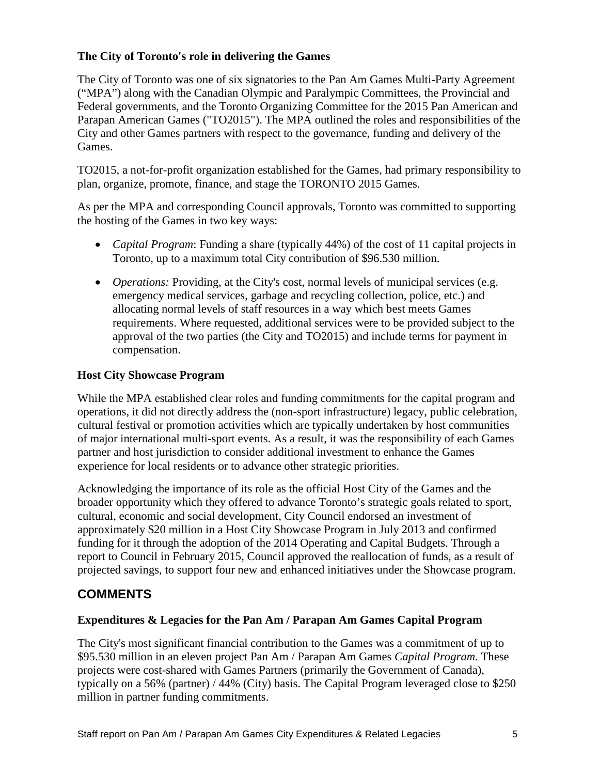## **The City of Toronto's role in delivering the Games**

The City of Toronto was one of six signatories to the Pan Am Games Multi-Party Agreement ("MPA") along with the Canadian Olympic and Paralympic Committees, the Provincial and Federal governments, and the Toronto Organizing Committee for the 2015 Pan American and Parapan American Games ("TO2015"). The MPA outlined the roles and responsibilities of the City and other Games partners with respect to the governance, funding and delivery of the Games.

TO2015, a not-for-profit organization established for the Games, had primary responsibility to plan, organize, promote, finance, and stage the TORONTO 2015 Games.

As per the MPA and corresponding Council approvals, Toronto was committed to supporting the hosting of the Games in two key ways:

- *Capital Program*: Funding a share (typically 44%) of the cost of 11 capital projects in Toronto, up to a maximum total City contribution of \$96.530 million.
- *Operations:* Providing, at the City's cost, normal levels of municipal services (e.g. emergency medical services, garbage and recycling collection, police, etc.) and allocating normal levels of staff resources in a way which best meets Games requirements. Where requested, additional services were to be provided subject to the approval of the two parties (the City and TO2015) and include terms for payment in compensation.

### **Host City Showcase Program**

While the MPA established clear roles and funding commitments for the capital program and operations, it did not directly address the (non-sport infrastructure) legacy, public celebration, cultural festival or promotion activities which are typically undertaken by host communities of major international multi-sport events. As a result, it was the responsibility of each Games partner and host jurisdiction to consider additional investment to enhance the Games experience for local residents or to advance other strategic priorities.

Acknowledging the importance of its role as the official Host City of the Games and the broader opportunity which they offered to advance Toronto's strategic goals related to sport, cultural, economic and social development, City Council endorsed an investment of approximately \$20 million in a Host City Showcase Program in July 2013 and confirmed funding for it through the adoption of the 2014 Operating and Capital Budgets. Through a report to Council in February 2015, Council approved the reallocation of funds, as a result of projected savings, to support four new and enhanced initiatives under the Showcase program.

# **COMMENTS**

#### **Expenditures & Legacies for the Pan Am / Parapan Am Games Capital Program**

The City's most significant financial contribution to the Games was a commitment of up to \$95.530 million in an eleven project Pan Am / Parapan Am Games *Capital Program.* These projects were cost-shared with Games Partners (primarily the Government of Canada), typically on a 56% (partner) / 44% (City) basis. The Capital Program leveraged close to \$250 million in partner funding commitments.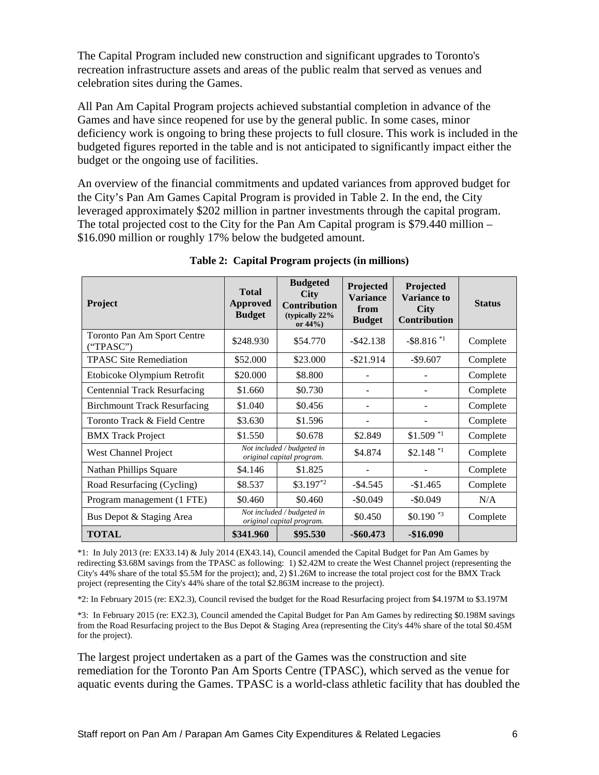The Capital Program included new construction and significant upgrades to Toronto's recreation infrastructure assets and areas of the public realm that served as venues and celebration sites during the Games.

All Pan Am Capital Program projects achieved substantial completion in advance of the Games and have since reopened for use by the general public. In some cases, minor deficiency work is ongoing to bring these projects to full closure. This work is included in the budgeted figures reported in the table and is not anticipated to significantly impact either the budget or the ongoing use of facilities.

An overview of the financial commitments and updated variances from approved budget for the City's Pan Am Games Capital Program is provided in Table 2. In the end, the City leveraged approximately \$202 million in partner investments through the capital program. The total projected cost to the City for the Pan Am Capital program is \$79.440 million – \$16.090 million or roughly 17% below the budgeted amount.

| <b>Project</b>                           | <b>Total</b><br>Approved<br><b>Budget</b>               | <b>Budgeted</b><br><b>City</b><br><b>Contribution</b><br>(typically 22%)<br>or $44%$ ) | Projected<br><b>Variance</b><br>from<br><b>Budget</b> | Projected<br><b>Variance to</b><br><b>City</b><br><b>Contribution</b> | <b>Status</b> |
|------------------------------------------|---------------------------------------------------------|----------------------------------------------------------------------------------------|-------------------------------------------------------|-----------------------------------------------------------------------|---------------|
| Toronto Pan Am Sport Centre<br>("TPASC") | \$248.930                                               | \$54.770                                                                               | $-$ \$42.138                                          | $-$ \$8.816 $*$ <sup>1</sup>                                          | Complete      |
| <b>TPASC Site Remediation</b>            | \$52,000                                                | \$23.000                                                                               | $-$ \$21.914                                          | $-$9.607$                                                             | Complete      |
| Etobicoke Olympium Retrofit              | \$20.000                                                | \$8.800                                                                                |                                                       |                                                                       | Complete      |
| <b>Centennial Track Resurfacing</b>      | \$1.660                                                 | \$0.730                                                                                | $\overline{\phantom{a}}$                              |                                                                       | Complete      |
| <b>Birchmount Track Resurfacing</b>      | \$1.040                                                 | \$0.456                                                                                |                                                       |                                                                       | Complete      |
| Toronto Track & Field Centre             | \$3.630                                                 | \$1.596                                                                                |                                                       |                                                                       | Complete      |
| <b>BMX</b> Track Project                 | \$1.550                                                 | \$0.678                                                                                | \$2.849                                               | $$1.509$ *1                                                           | Complete      |
| West Channel Project                     | Not included / budgeted in<br>original capital program. |                                                                                        | \$4.874                                               | $$2.148$ *1                                                           | Complete      |
| <b>Nathan Phillips Square</b>            | \$4.146                                                 | \$1.825                                                                                |                                                       |                                                                       | Complete      |
| Road Resurfacing (Cycling)               | \$8.537                                                 | $$3.197^{*2}$                                                                          | $-$ \$4.545                                           | $-\$1.465$                                                            | Complete      |
| Program management (1 FTE)               | \$0.460                                                 | \$0.460                                                                                | $-$ \$0.049                                           | $-$0.049$                                                             | N/A           |
| Bus Depot & Staging Area                 |                                                         | Not included / budgeted in<br>original capital program.                                | \$0.450                                               | $$0.190$ *3                                                           | Complete      |
| <b>TOTAL</b>                             | \$341.960                                               | \$95.530                                                                               | $-$ \$60.473                                          | $-$16.090$                                                            |               |

#### **Table 2: Capital Program projects (in millions)**

\*1: In July 2013 (re: EX33.14) & July 2014 (EX43.14), Council amended the Capital Budget for Pan Am Games by redirecting \$3.68M savings from the TPASC as following: 1) \$2.42M to create the West Channel project (representing the City's 44% share of the total \$5.5M for the project); and, 2) \$1.26M to increase the total project cost for the BMX Track project (representing the City's 44% share of the total \$2.863M increase to the project).

\*2: In February 2015 (re: EX2.3), Council revised the budget for the Road Resurfacing project from \$4.197M to \$3.197M

\*3: In February 2015 (re: EX2.3), Council amended the Capital Budget for Pan Am Games by redirecting \$0.198M savings from the Road Resurfacing project to the Bus Depot & Staging Area (representing the City's 44% share of the total \$0.45M for the project).

The largest project undertaken as a part of the Games was the construction and site remediation for the Toronto Pan Am Sports Centre (TPASC), which served as the venue for aquatic events during the Games. TPASC is a world-class athletic facility that has doubled the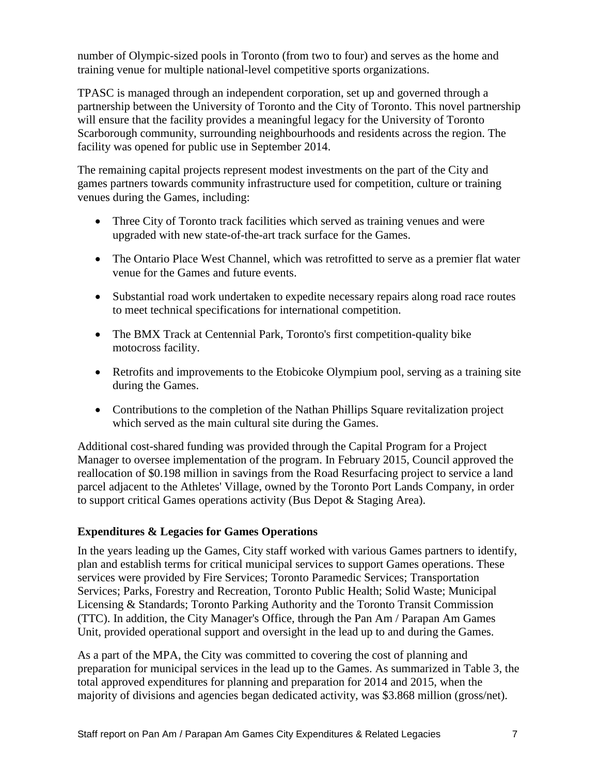number of Olympic-sized pools in Toronto (from two to four) and serves as the home and training venue for multiple national-level competitive sports organizations.

TPASC is managed through an independent corporation, set up and governed through a partnership between the University of Toronto and the City of Toronto. This novel partnership will ensure that the facility provides a meaningful legacy for the University of Toronto Scarborough community, surrounding neighbourhoods and residents across the region. The facility was opened for public use in September 2014.

The remaining capital projects represent modest investments on the part of the City and games partners towards community infrastructure used for competition, culture or training venues during the Games, including:

- Three City of Toronto track facilities which served as training venues and were upgraded with new state-of-the-art track surface for the Games.
- The Ontario Place West Channel, which was retrofitted to serve as a premier flat water venue for the Games and future events.
- Substantial road work undertaken to expedite necessary repairs along road race routes to meet technical specifications for international competition.
- The BMX Track at Centennial Park, Toronto's first competition-quality bike motocross facility.
- Retrofits and improvements to the Etobicoke Olympium pool, serving as a training site during the Games.
- Contributions to the completion of the Nathan Phillips Square revitalization project which served as the main cultural site during the Games.

Additional cost-shared funding was provided through the Capital Program for a Project Manager to oversee implementation of the program. In February 2015, Council approved the reallocation of \$0.198 million in savings from the Road Resurfacing project to service a land parcel adjacent to the Athletes' Village, owned by the Toronto Port Lands Company, in order to support critical Games operations activity (Bus Depot & Staging Area).

### **Expenditures & Legacies for Games Operations**

In the years leading up the Games, City staff worked with various Games partners to identify, plan and establish terms for critical municipal services to support Games operations. These services were provided by Fire Services; Toronto Paramedic Services; Transportation Services; Parks, Forestry and Recreation, Toronto Public Health; Solid Waste; Municipal Licensing & Standards; Toronto Parking Authority and the Toronto Transit Commission (TTC). In addition, the City Manager's Office, through the Pan Am / Parapan Am Games Unit, provided operational support and oversight in the lead up to and during the Games.

As a part of the MPA, the City was committed to covering the cost of planning and preparation for municipal services in the lead up to the Games. As summarized in Table 3, the total approved expenditures for planning and preparation for 2014 and 2015, when the majority of divisions and agencies began dedicated activity, was \$3.868 million (gross/net).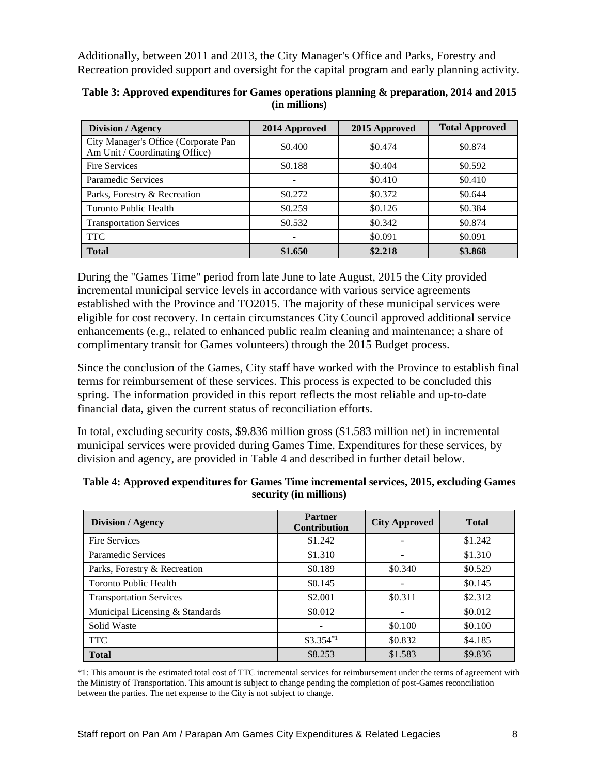Additionally, between 2011 and 2013, the City Manager's Office and Parks, Forestry and Recreation provided support and oversight for the capital program and early planning activity.

| <b>Division / Agency</b>                                               | 2014 Approved | 2015 Approved | <b>Total Approved</b> |
|------------------------------------------------------------------------|---------------|---------------|-----------------------|
| City Manager's Office (Corporate Pan<br>Am Unit / Coordinating Office) | \$0.400       | \$0.474       | \$0.874               |
| <b>Fire Services</b>                                                   | \$0.188       | \$0.404       | \$0.592               |
| Paramedic Services                                                     |               | \$0.410       | \$0.410               |
| Parks, Forestry & Recreation                                           | \$0.272       | \$0.372       | \$0.644               |
| <b>Toronto Public Health</b>                                           | \$0.259       | \$0.126       | \$0.384               |
| <b>Transportation Services</b>                                         | \$0.532       | \$0.342       | \$0.874               |
| <b>TTC</b>                                                             |               | \$0.091       | \$0.091               |
| <b>Total</b>                                                           | \$1.650       | \$2.218       | \$3.868               |

**Table 3: Approved expenditures for Games operations planning & preparation, 2014 and 2015 (in millions)** 

During the "Games Time" period from late June to late August, 2015 the City provided incremental municipal service levels in accordance with various service agreements established with the Province and TO2015. The majority of these municipal services were eligible for cost recovery. In certain circumstances City Council approved additional service enhancements (e.g., related to enhanced public realm cleaning and maintenance; a share of complimentary transit for Games volunteers) through the 2015 Budget process.

Since the conclusion of the Games, City staff have worked with the Province to establish final terms for reimbursement of these services. This process is expected to be concluded this spring. The information provided in this report reflects the most reliable and up-to-date financial data, given the current status of reconciliation efforts.

In total, excluding security costs, \$9.836 million gross (\$1.583 million net) in incremental municipal services were provided during Games Time. Expenditures for these services, by division and agency, are provided in Table 4 and described in further detail below.

| <b>Division / Agency</b>        | <b>Partner</b><br>Contribution | <b>City Approved</b> | <b>Total</b> |  |
|---------------------------------|--------------------------------|----------------------|--------------|--|
| <b>Fire Services</b>            | \$1.242                        |                      | \$1.242      |  |
| Paramedic Services              | \$1.310                        |                      | \$1.310      |  |
| Parks, Forestry & Recreation    | \$0.189                        | \$0.340              | \$0.529      |  |
| <b>Toronto Public Health</b>    | \$0.145                        |                      | \$0.145      |  |
| <b>Transportation Services</b>  | \$2.001                        | \$0.311              | \$2.312      |  |
| Municipal Licensing & Standards | \$0.012                        |                      | \$0.012      |  |
| Solid Waste                     |                                | \$0.100              | \$0.100      |  |
| <b>TTC</b>                      | $$3.354$ <sup>*1</sup>         | \$0.832              | \$4.185      |  |
| <b>Total</b>                    | \$8.253                        | \$1.583              | \$9.836      |  |

| Table 4: Approved expenditures for Games Time incremental services, 2015, excluding Games |
|-------------------------------------------------------------------------------------------|
| security (in millions)                                                                    |

\*1: This amount is the estimated total cost of TTC incremental services for reimbursement under the terms of agreement with the Ministry of Transportation. This amount is subject to change pending the completion of post-Games reconciliation between the parties. The net expense to the City is not subject to change.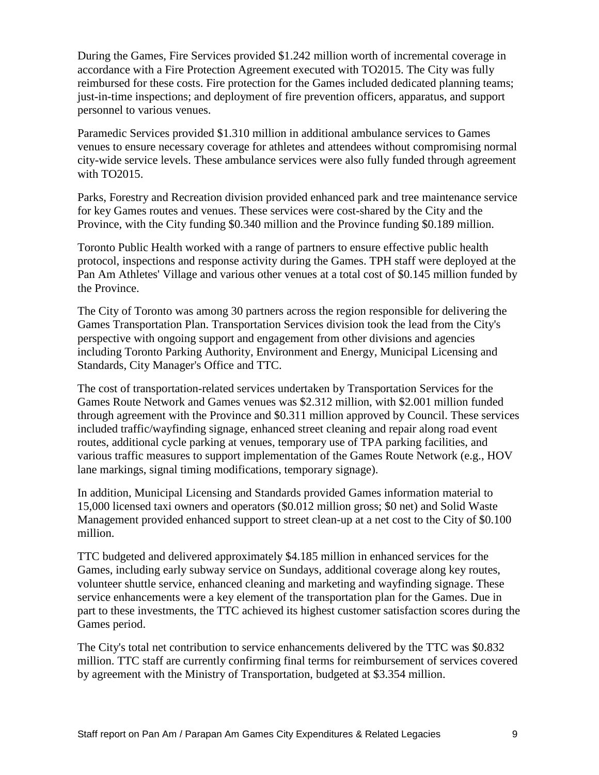During the Games, Fire Services provided \$1.242 million worth of incremental coverage in accordance with a Fire Protection Agreement executed with TO2015. The City was fully reimbursed for these costs. Fire protection for the Games included dedicated planning teams; just-in-time inspections; and deployment of fire prevention officers, apparatus, and support personnel to various venues.

Paramedic Services provided \$1.310 million in additional ambulance services to Games venues to ensure necessary coverage for athletes and attendees without compromising normal city-wide service levels. These ambulance services were also fully funded through agreement with TO2015.

Parks, Forestry and Recreation division provided enhanced park and tree maintenance service for key Games routes and venues. These services were cost-shared by the City and the Province, with the City funding \$0.340 million and the Province funding \$0.189 million.

Toronto Public Health worked with a range of partners to ensure effective public health protocol, inspections and response activity during the Games. TPH staff were deployed at the Pan Am Athletes' Village and various other venues at a total cost of \$0.145 million funded by the Province.

The City of Toronto was among 30 partners across the region responsible for delivering the Games Transportation Plan. Transportation Services division took the lead from the City's perspective with ongoing support and engagement from other divisions and agencies including Toronto Parking Authority, Environment and Energy, Municipal Licensing and Standards, City Manager's Office and TTC.

The cost of transportation-related services undertaken by Transportation Services for the Games Route Network and Games venues was \$2.312 million, with \$2.001 million funded through agreement with the Province and \$0.311 million approved by Council. These services included traffic/wayfinding signage, enhanced street cleaning and repair along road event routes, additional cycle parking at venues, temporary use of TPA parking facilities, and various traffic measures to support implementation of the Games Route Network (e.g., HOV lane markings, signal timing modifications, temporary signage).

In addition, Municipal Licensing and Standards provided Games information material to 15,000 licensed taxi owners and operators (\$0.012 million gross; \$0 net) and Solid Waste Management provided enhanced support to street clean-up at a net cost to the City of \$0.100 million.

TTC budgeted and delivered approximately \$4.185 million in enhanced services for the Games, including early subway service on Sundays, additional coverage along key routes, volunteer shuttle service, enhanced cleaning and marketing and wayfinding signage. These service enhancements were a key element of the transportation plan for the Games. Due in part to these investments, the TTC achieved its highest customer satisfaction scores during the Games period.

The City's total net contribution to service enhancements delivered by the TTC was \$0.832 million. TTC staff are currently confirming final terms for reimbursement of services covered by agreement with the Ministry of Transportation, budgeted at \$3.354 million.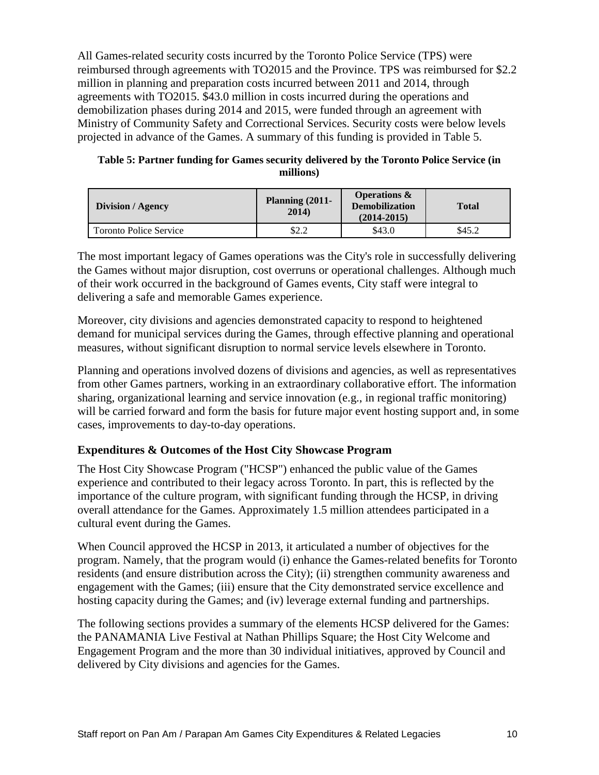All Games-related security costs incurred by the Toronto Police Service (TPS) were reimbursed through agreements with TO2015 and the Province. TPS was reimbursed for \$2.2 million in planning and preparation costs incurred between 2011 and 2014, through agreements with TO2015. \$43.0 million in costs incurred during the operations and demobilization phases during 2014 and 2015, were funded through an agreement with Ministry of Community Safety and Correctional Services. Security costs were below levels projected in advance of the Games. A summary of this funding is provided in Table 5.

| Table 5: Partner funding for Games security delivered by the Toronto Police Service (in |
|-----------------------------------------------------------------------------------------|
| millions)                                                                               |

| Division / Agency             | Planning $(2011 -$<br>2014) | <b>Operations &amp;</b><br><b>Demobilization</b><br>$(2014 - 2015)$ | <b>Total</b> |  |
|-------------------------------|-----------------------------|---------------------------------------------------------------------|--------------|--|
| <b>Toronto Police Service</b> | \$2.2                       | \$43.0                                                              | \$45.2       |  |

The most important legacy of Games operations was the City's role in successfully delivering the Games without major disruption, cost overruns or operational challenges. Although much of their work occurred in the background of Games events, City staff were integral to delivering a safe and memorable Games experience.

Moreover, city divisions and agencies demonstrated capacity to respond to heightened demand for municipal services during the Games, through effective planning and operational measures, without significant disruption to normal service levels elsewhere in Toronto.

Planning and operations involved dozens of divisions and agencies, as well as representatives from other Games partners, working in an extraordinary collaborative effort. The information sharing, organizational learning and service innovation (e.g., in regional traffic monitoring) will be carried forward and form the basis for future major event hosting support and, in some cases, improvements to day-to-day operations.

### **Expenditures & Outcomes of the Host City Showcase Program**

The Host City Showcase Program ("HCSP") enhanced the public value of the Games experience and contributed to their legacy across Toronto. In part, this is reflected by the importance of the culture program, with significant funding through the HCSP, in driving overall attendance for the Games. Approximately 1.5 million attendees participated in a cultural event during the Games.

When Council approved the HCSP in 2013, it articulated a number of objectives for the program. Namely, that the program would (i) enhance the Games-related benefits for Toronto residents (and ensure distribution across the City); (ii) strengthen community awareness and engagement with the Games; (iii) ensure that the City demonstrated service excellence and hosting capacity during the Games; and (iv) leverage external funding and partnerships.

The following sections provides a summary of the elements HCSP delivered for the Games: the PANAMANIA Live Festival at Nathan Phillips Square; the Host City Welcome and Engagement Program and the more than 30 individual initiatives, approved by Council and delivered by City divisions and agencies for the Games.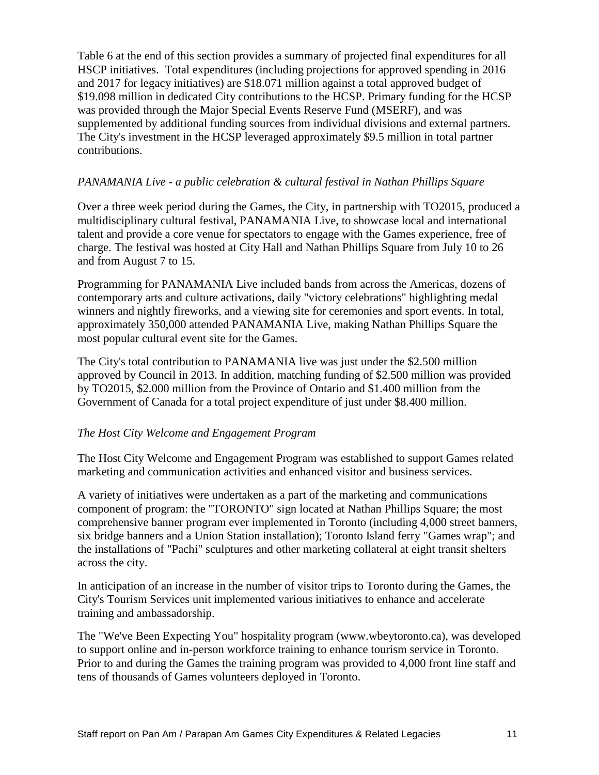Table 6 at the end of this section provides a summary of projected final expenditures for all HSCP initiatives. Total expenditures (including projections for approved spending in 2016 and 2017 for legacy initiatives) are \$18.071 million against a total approved budget of \$19.098 million in dedicated City contributions to the HCSP. Primary funding for the HCSP was provided through the Major Special Events Reserve Fund (MSERF), and was supplemented by additional funding sources from individual divisions and external partners. The City's investment in the HCSP leveraged approximately \$9.5 million in total partner contributions.

#### *PANAMANIA Live - a public celebration & cultural festival in Nathan Phillips Square*

Over a three week period during the Games, the City, in partnership with TO2015, produced a multidisciplinary cultural festival, PANAMANIA Live, to showcase local and international talent and provide a core venue for spectators to engage with the Games experience, free of charge. The festival was hosted at City Hall and Nathan Phillips Square from July 10 to 26 and from August 7 to 15.

Programming for PANAMANIA Live included bands from across the Americas, dozens of contemporary arts and culture activations, daily "victory celebrations" highlighting medal winners and nightly fireworks, and a viewing site for ceremonies and sport events. In total, approximately 350,000 attended PANAMANIA Live, making Nathan Phillips Square the most popular cultural event site for the Games.

The City's total contribution to PANAMANIA live was just under the \$2.500 million approved by Council in 2013. In addition, matching funding of \$2.500 million was provided by TO2015, \$2.000 million from the Province of Ontario and \$1.400 million from the Government of Canada for a total project expenditure of just under \$8.400 million.

#### *The Host City Welcome and Engagement Program*

The Host City Welcome and Engagement Program was established to support Games related marketing and communication activities and enhanced visitor and business services.

A variety of initiatives were undertaken as a part of the marketing and communications component of program: the "TORONTO" sign located at Nathan Phillips Square; the most comprehensive banner program ever implemented in Toronto (including 4,000 street banners, six bridge banners and a Union Station installation); Toronto Island ferry "Games wrap"; and the installations of "Pachi" sculptures and other marketing collateral at eight transit shelters across the city.

In anticipation of an increase in the number of visitor trips to Toronto during the Games, the City's Tourism Services unit implemented various initiatives to enhance and accelerate training and ambassadorship.

The "We've Been Expecting You" hospitality program [\(www.wbeytoronto.ca\)](http://www.wbeytoronto.ca/), was developed to support online and in-person workforce training to enhance tourism service in Toronto. Prior to and during the Games the training program was provided to 4,000 front line staff and tens of thousands of Games volunteers deployed in Toronto.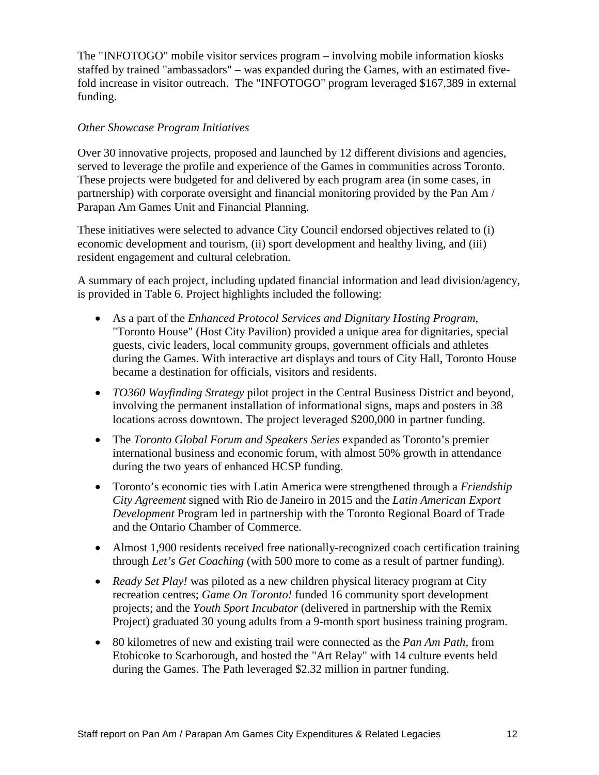The "INFOTOGO" mobile visitor services program – involving mobile information kiosks staffed by trained "ambassadors" – was expanded during the Games, with an estimated fivefold increase in visitor outreach. The "INFOTOGO" program leveraged \$167,389 in external funding.

#### *Other Showcase Program Initiatives*

Over 30 innovative projects, proposed and launched by 12 different divisions and agencies, served to leverage the profile and experience of the Games in communities across Toronto. These projects were budgeted for and delivered by each program area (in some cases, in partnership) with corporate oversight and financial monitoring provided by the Pan Am / Parapan Am Games Unit and Financial Planning.

These initiatives were selected to advance City Council endorsed objectives related to (i) economic development and tourism, (ii) sport development and healthy living, and (iii) resident engagement and cultural celebration.

A summary of each project, including updated financial information and lead division/agency, is provided in Table 6. Project highlights included the following:

- As a part of the *Enhanced Protocol Services and Dignitary Hosting Program*, "Toronto House" (Host City Pavilion) provided a unique area for dignitaries, special guests, civic leaders, local community groups, government officials and athletes during the Games. With interactive art displays and tours of City Hall, Toronto House became a destination for officials, visitors and residents.
- *TO360 Wayfinding Strategy* pilot project in the Central Business District and beyond, involving the permanent installation of informational signs, maps and posters in 38 locations across downtown. The project leveraged \$200,000 in partner funding.
- The *Toronto Global Forum and Speakers Series* expanded as Toronto's premier international business and economic forum, with almost 50% growth in attendance during the two years of enhanced HCSP funding.
- Toronto's economic ties with Latin America were strengthened through a *Friendship City Agreement* signed with Rio de Janeiro in 2015 and the *Latin American Export Development* Program led in partnership with the Toronto Regional Board of Trade and the Ontario Chamber of Commerce.
- Almost 1,900 residents received free nationally-recognized coach certification training through *Let's Get Coaching* (with 500 more to come as a result of partner funding).
- *Ready Set Play!* was piloted as a new children physical literacy program at City recreation centres; *Game On Toronto!* funded 16 community sport development projects; and the *Youth Sport Incubator* (delivered in partnership with the Remix Project) graduated 30 young adults from a 9-month sport business training program.
- 80 kilometres of new and existing trail were connected as the *Pan Am Path*, from Etobicoke to Scarborough, and hosted the "Art Relay" with 14 culture events held during the Games. The Path leveraged \$2.32 million in partner funding.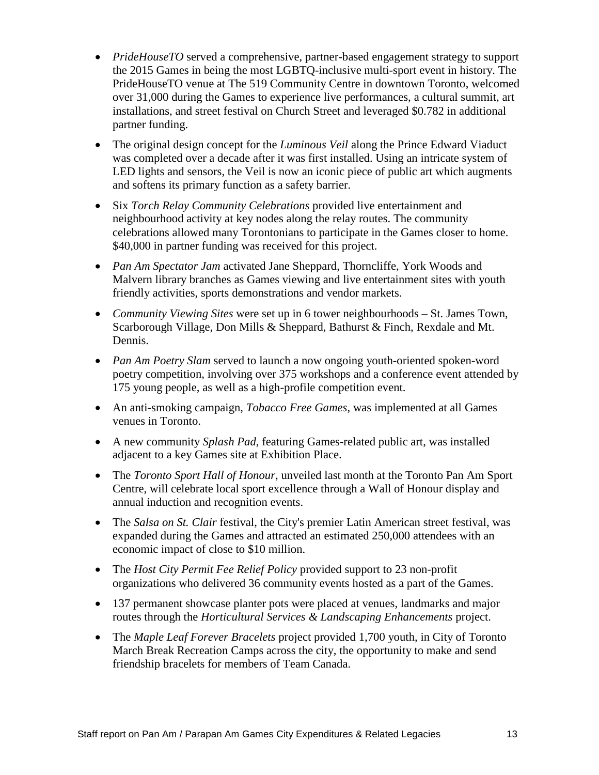- *PrideHouseTO* served a comprehensive, partner-based engagement strategy to support the 2015 Games in being the most LGBTQ-inclusive multi-sport event in history. The PrideHouseTO venue at The 519 Community Centre in downtown Toronto, welcomed over 31,000 during the Games to experience live performances, a cultural summit, art installations, and street festival on Church Street and leveraged \$0.782 in additional partner funding.
- The original design concept for the *Luminous Veil* along the Prince Edward Viaduct was completed over a decade after it was first installed. Using an intricate system of LED lights and sensors, the Veil is now an iconic piece of public art which augments and softens its primary function as a safety barrier.
- Six *Torch Relay Community Celebrations* provided live entertainment and neighbourhood activity at key nodes along the relay routes. The community celebrations allowed many Torontonians to participate in the Games closer to home. \$40,000 in partner funding was received for this project.
- *Pan Am Spectator Jam* activated Jane Sheppard, Thorncliffe, York Woods and Malvern library branches as Games viewing and live entertainment sites with youth friendly activities, sports demonstrations and vendor markets.
- *Community Viewing Sites* were set up in 6 tower neighbourhoods St. James Town, Scarborough Village, Don Mills & Sheppard, Bathurst & Finch, Rexdale and Mt. Dennis.
- *Pan Am Poetry Slam* served to launch a now ongoing youth-oriented spoken-word poetry competition, involving over 375 workshops and a conference event attended by 175 young people, as well as a high-profile competition event.
- An anti-smoking campaign, *Tobacco Free Games,* was implemented at all Games venues in Toronto.
- A new community *Splash Pad*, featuring Games-related public art, was installed adjacent to a key Games site at Exhibition Place.
- The *Toronto Sport Hall of Honour*, unveiled last month at the Toronto Pan Am Sport Centre, will celebrate local sport excellence through a Wall of Honour display and annual induction and recognition events.
- The *Salsa on St. Clair* festival, the City's premier Latin American street festival, was expanded during the Games and attracted an estimated 250,000 attendees with an economic impact of close to \$10 million.
- The *Host City Permit Fee Relief Policy* provided support to 23 non-profit organizations who delivered 36 community events hosted as a part of the Games.
- 137 permanent showcase planter pots were placed at venues, landmarks and major routes through the *Horticultural Services & Landscaping Enhancements* project.
- The *Maple Leaf Forever Bracelets* project provided 1,700 youth, in City of Toronto March Break Recreation Camps across the city, the opportunity to make and send friendship bracelets for members of Team Canada.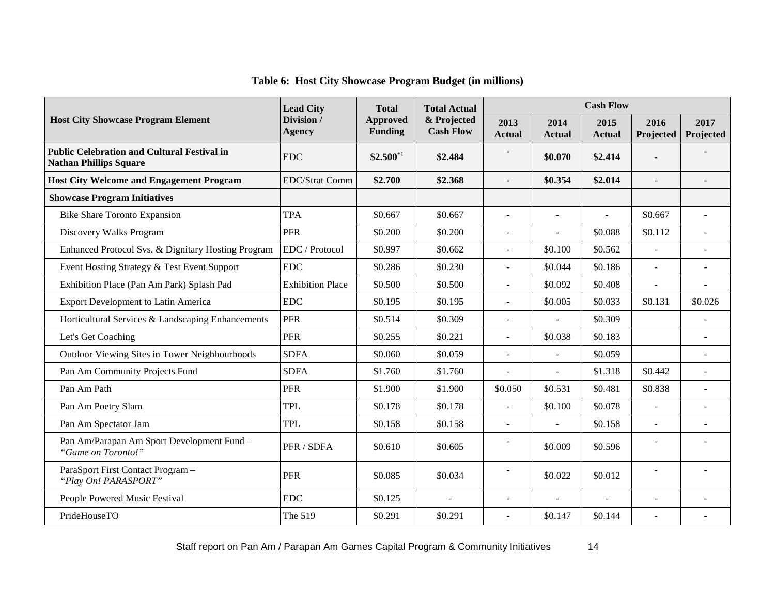|  |  |  |  |  |  | Table 6: Host City Showcase Program Budget (in millions) |  |
|--|--|--|--|--|--|----------------------------------------------------------|--|
|--|--|--|--|--|--|----------------------------------------------------------|--|

|                                                                                     | <b>Lead City</b>            | <b>Total</b>                      | <b>Total Actual</b>             | <b>Cash Flow</b>         |                       |                       |                   |                   |  |
|-------------------------------------------------------------------------------------|-----------------------------|-----------------------------------|---------------------------------|--------------------------|-----------------------|-----------------------|-------------------|-------------------|--|
| <b>Host City Showcase Program Element</b>                                           | Division /<br><b>Agency</b> | <b>Approved</b><br><b>Funding</b> | & Projected<br><b>Cash Flow</b> | 2013<br><b>Actual</b>    | 2014<br><b>Actual</b> | 2015<br><b>Actual</b> | 2016<br>Projected | 2017<br>Projected |  |
| <b>Public Celebration and Cultural Festival in</b><br><b>Nathan Phillips Square</b> | <b>EDC</b>                  | $$2.500^{*1}$                     | \$2.484                         |                          | \$0.070               | \$2.414               |                   |                   |  |
| <b>Host City Welcome and Engagement Program</b>                                     | <b>EDC/Strat Comm</b>       | \$2.700                           | \$2.368                         | $\overline{a}$           | \$0.354               | \$2.014               |                   |                   |  |
| <b>Showcase Program Initiatives</b>                                                 |                             |                                   |                                 |                          |                       |                       |                   |                   |  |
| <b>Bike Share Toronto Expansion</b>                                                 | <b>TPA</b>                  | \$0.667                           | \$0.667                         | $\sim$                   | $\sim$                |                       | \$0.667           |                   |  |
| Discovery Walks Program                                                             | <b>PFR</b>                  | \$0.200                           | \$0.200                         | $\overline{a}$           |                       | \$0.088               | \$0.112           |                   |  |
| Enhanced Protocol Svs. & Dignitary Hosting Program                                  | EDC / Protocol              | \$0.997                           | \$0.662                         | $\overline{a}$           | \$0.100               | \$0.562               |                   |                   |  |
| Event Hosting Strategy & Test Event Support                                         | $\rm{EDC}$                  | \$0.286                           | \$0.230                         | L.                       | \$0.044               | \$0.186               | L.                |                   |  |
| Exhibition Place (Pan Am Park) Splash Pad                                           | <b>Exhibition Place</b>     | \$0.500                           | \$0.500                         |                          | \$0.092               | \$0.408               |                   |                   |  |
| <b>Export Development to Latin America</b>                                          | <b>EDC</b>                  | \$0.195                           | \$0.195                         |                          | \$0.005               | \$0.033               | \$0.131           | \$0.026           |  |
| Horticultural Services & Landscaping Enhancements                                   | <b>PFR</b>                  | \$0.514                           | \$0.309                         | ÷.                       |                       | \$0.309               |                   |                   |  |
| Let's Get Coaching                                                                  | <b>PFR</b>                  | \$0.255                           | \$0.221                         | L.                       | \$0.038               | \$0.183               |                   |                   |  |
| Outdoor Viewing Sites in Tower Neighbourhoods                                       | <b>SDFA</b>                 | \$0.060                           | \$0.059                         | ÷,                       |                       | \$0.059               |                   |                   |  |
| Pan Am Community Projects Fund                                                      | <b>SDFA</b>                 | \$1.760                           | \$1.760                         |                          |                       | \$1.318               | \$0.442           |                   |  |
| Pan Am Path                                                                         | <b>PFR</b>                  | \$1.900                           | \$1.900                         | \$0.050                  | \$0.531               | \$0.481               | \$0.838           |                   |  |
| Pan Am Poetry Slam                                                                  | <b>TPL</b>                  | \$0.178                           | \$0.178                         | $\overline{a}$           | \$0.100               | \$0.078               | $\overline{a}$    |                   |  |
| Pan Am Spectator Jam                                                                | <b>TPL</b>                  | \$0.158                           | \$0.158                         | ÷,                       | $\overline{a}$        | \$0.158               | $\overline{a}$    |                   |  |
| Pan Am/Parapan Am Sport Development Fund -<br>"Game on Toronto!"                    | PFR / SDFA                  | \$0.610                           | \$0.605                         | $\overline{\phantom{a}}$ | \$0.009               | \$0.596               |                   |                   |  |
| ParaSport First Contact Program -<br>"Play On! PARASPORT"                           | <b>PFR</b>                  | \$0.085                           | \$0.034                         | $\blacksquare$           | \$0.022               | \$0.012               | L,                |                   |  |
| People Powered Music Festival                                                       | EDC                         | \$0.125                           | $\blacksquare$                  | $\sim$                   | $\overline{a}$        | $\sim$                | $\overline{a}$    |                   |  |
| PrideHouseTO                                                                        | The 519                     | \$0.291                           | \$0.291                         | ÷.                       | \$0.147               | \$0.144               | $\overline{a}$    |                   |  |

Staff report on Pan Am / Parapan Am Games Capital Program & Community Initiatives 14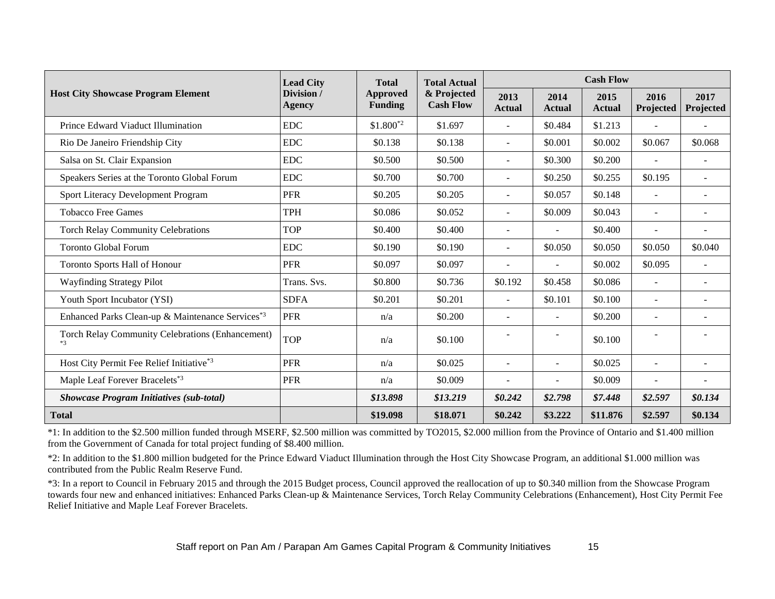|                                                              | <b>Lead City</b><br>Division /<br>Agency | <b>Total</b><br><b>Approved</b><br><b>Funding</b> | <b>Total Actual</b><br>& Projected<br><b>Cash Flow</b> | <b>Cash Flow</b>         |                       |                       |                          |                   |
|--------------------------------------------------------------|------------------------------------------|---------------------------------------------------|--------------------------------------------------------|--------------------------|-----------------------|-----------------------|--------------------------|-------------------|
| <b>Host City Showcase Program Element</b>                    |                                          |                                                   |                                                        | 2013<br><b>Actual</b>    | 2014<br><b>Actual</b> | 2015<br><b>Actual</b> | 2016<br>Projected        | 2017<br>Projected |
| Prince Edward Viaduct Illumination                           | <b>EDC</b>                               | $$1.800^{*2}$                                     | \$1.697                                                | $\overline{\phantom{a}}$ | \$0.484               | \$1.213               |                          |                   |
| Rio De Janeiro Friendship City                               | <b>EDC</b>                               | \$0.138                                           | \$0.138                                                | $\overline{\phantom{a}}$ | \$0.001               | \$0.002               | \$0.067                  | \$0.068           |
| Salsa on St. Clair Expansion                                 | <b>EDC</b>                               | \$0.500                                           | \$0.500                                                | ÷                        | \$0.300               | \$0.200               | $\sim$                   |                   |
| Speakers Series at the Toronto Global Forum                  | <b>EDC</b>                               | \$0.700                                           | \$0.700                                                | $\overline{\phantom{a}}$ | \$0.250               | \$0.255               | \$0.195                  | ÷                 |
| Sport Literacy Development Program                           | <b>PFR</b>                               | \$0.205                                           | \$0.205                                                | $\sim$                   | \$0.057               | \$0.148               | $\sim$                   | ٠                 |
| <b>Tobacco Free Games</b>                                    | <b>TPH</b>                               | \$0.086                                           | \$0.052                                                | $\blacksquare$           | \$0.009               | \$0.043               | $\overline{\phantom{a}}$ | -                 |
| <b>Torch Relay Community Celebrations</b>                    | <b>TOP</b>                               | \$0.400                                           | \$0.400                                                | $\overline{\phantom{0}}$ |                       | \$0.400               |                          | ٠                 |
| <b>Toronto Global Forum</b>                                  | <b>EDC</b>                               | \$0.190                                           | \$0.190                                                | $\blacksquare$           | \$0.050               | \$0.050               | \$0.050                  | \$0.040           |
| Toronto Sports Hall of Honour                                | <b>PFR</b>                               | \$0.097                                           | \$0.097                                                | $\overline{\phantom{a}}$ |                       | \$0.002               | \$0.095                  |                   |
| <b>Wayfinding Strategy Pilot</b>                             | Trans. Svs.                              | \$0.800                                           | \$0.736                                                | \$0.192                  | \$0.458               | \$0.086               | $\sim$                   | ÷.                |
| Youth Sport Incubator (YSI)                                  | <b>SDFA</b>                              | \$0.201                                           | \$0.201                                                | $\blacksquare$           | \$0.101               | \$0.100               | $\sim$                   | ÷.                |
| Enhanced Parks Clean-up & Maintenance Services <sup>*3</sup> | <b>PFR</b>                               | n/a                                               | \$0.200                                                | $\overline{\phantom{a}}$ |                       | \$0.200               | $\overline{\phantom{a}}$ |                   |
| Torch Relay Community Celebrations (Enhancement)<br>$*3$     | <b>TOP</b>                               | n/a                                               | \$0.100                                                |                          |                       | \$0.100               |                          |                   |
| Host City Permit Fee Relief Initiative*3                     | <b>PFR</b>                               | n/a                                               | \$0.025                                                | ۰                        |                       | \$0.025               | $\overline{\phantom{a}}$ |                   |
| Maple Leaf Forever Bracelets*3                               | <b>PFR</b>                               | n/a                                               | \$0.009                                                | ٠                        |                       | \$0.009               |                          |                   |
| <b>Showcase Program Initiatives (sub-total)</b>              |                                          | \$13.898                                          | \$13.219                                               | \$0.242                  | \$2.798               | \$7.448               | \$2.597                  | \$0.134           |
| <b>Total</b>                                                 |                                          | \$19.098                                          | \$18.071                                               | \$0.242                  | \$3.222               | \$11.876              | \$2.597                  | \$0.134           |

\*1: In addition to the \$2.500 million funded through MSERF, \$2.500 million was committed by TO2015, \$2.000 million from the Province of Ontario and \$1.400 million from the Government of Canada for total project funding of \$8.400 million.

\*2: In addition to the \$1.800 million budgeted for the Prince Edward Viaduct Illumination through the Host City Showcase Program, an additional \$1.000 million was contributed from the Public Realm Reserve Fund.

\*3: In a report to Council in February 2015 and through the 2015 Budget process, Council approved the reallocation of up to \$0.340 million from the Showcase Program towards four new and enhanced initiatives: Enhanced Parks Clean-up & Maintenance Services, Torch Relay Community Celebrations (Enhancement), Host City Permit Fee Relief Initiative and Maple Leaf Forever Bracelets.